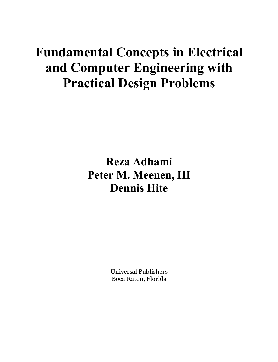## **Fundamental Concepts in Electrical and Computer Engineering with Practical Design Problems**

**Reza Adhami Peter M. Meenen, III Dennis Hite** 

> Universal Publishers Boca Raton, Florida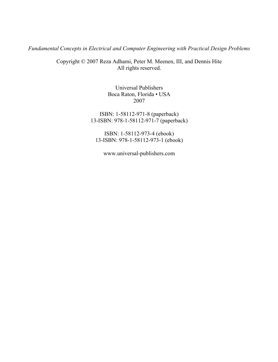*Fundamental Concepts in Electrical and Computer Engineering with Practical Design Problems*

Copyright © 2007 Reza Adhami, Peter M. Meenen, III, and Dennis Hite All rights reserved.

> Universal Publishers Boca Raton, Florida • USA 2007

ISBN: 1-58112-971-8 (paperback) 13-ISBN: 978-1-58112-971-7 (paperback)

ISBN: 1-58112-973-4 (ebook) 13-ISBN: 978-1-58112-973-1 (ebook)

www.universal-publishers.com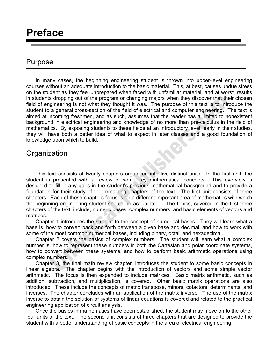## Purpose

 In many cases, the beginning engineering student is thrown into upper-level engineering courses without an adequate introduction to the basic material. This, at best, causes undue stress on the student as they feel unprepared when faced with unfamiliar material, and at worst, results in students dropping out of the program or changing majors when they discover that their chosen field of engineering is not what they thought it was. The purpose of this text is to introduce the student to a general cross-section of the field of electrical and computer engineering. The text is aimed at incoming freshmen, and as such, assumes that the reader has a limited to nonexistent background in electrical engineering and knowledge of no more than pre-calculus in the field of mathematics. By exposing students to these fields at an introductory level, early in their studies, they will have both a better idea of what to expect in later classes and a good foundation of knowledge upon which to build.

## **Organization**

 This text consists of twenty chapters organized into five distinct units. In the first unit, the student is presented with a review of some key mathematical concepts. This overview is designed to fill in any gaps in the student's previous mathematical background and to provide a foundation for their study of the remaining chapters of the text. The first unit consists of three chapters. Each of these chapters focuses on a different important area of mathematics with which the beginning engineering student should be acquainted. The topics, covered in the first three chapters of the text, include, numeric bases, complex numbers, and basic elements of vectors and matrices.

 Chapter 1 introduces the student to the concept of numerical bases. They will learn what a base is, how to convert back and forth between a given base and decimal, and how to work with some of the most common numerical bases, including binary, octal, and hexadecimal.

 Chapter 2 covers the basics of complex numbers. The student will learn what a complex number is, how to represent these numbers in both the Cartesian and polar coordinate systems, how to convert between these systems, and how to perform basic arithmetic operations using complex numbers.

 Chapter 3, the final math review chapter, introduces the student to some basic concepts in linear algebra. The chapter begins with the introduction of vectors and some simple vector arithmetic. The focus is then expanded to include matrices. Basic matrix arithmetic, such as addition, subtraction, and multiplication, is covered. Other basic matrix operations are also introduced. These include the concepts of matrix transpose, minors, cofactors, determinants, and inverses. The chapter concludes with an application of the matrix inverse. The use of the matrix inverse to obtain the solution of systems of linear equations is covered and related to the practical engineering application of circuit analysis.

 Once the basics in mathematics have been established, the student may move on to the other four units of the text. The second unit consists of three chapters that are designed to provide the student with a better understanding of basic concepts in the area of electrical engineering.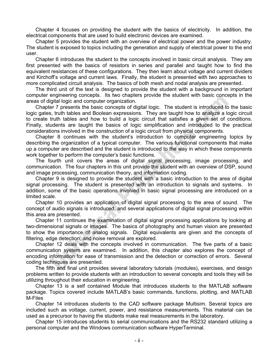Chapter 4 focuses on providing the student with the basics of electricity. In addition, the electrical components that are used to build electronic devices are examined.

 Chapter 5 provides the student with an overview of electrical power and the power industry. The student is exposed to topics including the generation and supply of electrical power to the end user.

 Chapter 6 introduces the student to the concepts involved in basic circuit analysis. They are first presented with the basics of resistors in series and parallel and taught how to find the equivalent resistances of these configurations. They then learn about voltage and current dividers and Kirchoff's voltage and current laws. Finally, the student is presented with two approaches to more complicated circuit analysis. The basics of both mesh and nodal analysis are presented.

 The third unit of the text is designed to provide the student with a background in important computer engineering concepts. Its two chapters provide the student with basic concepts in the areas of digital logic and computer organization.

 Chapter 7 presents the basic concepts of digital logic. The student is introduced to the basic logic gates, truth tables and Boolean expressions. They are taught how to analyze a logic circuit to create truth tables and how to build a logic circuit that satisfies a given set of conditions. Finally, students are taught the basics of logic simplification and introduced to the practical considerations involved in the construction of a logic circuit from physical components.

 Chapter 8 continues with the student's introduction to computer engineering topics by describing the organization of a typical computer. The various functional components that make up a computer are described and the student is introduced to the way in which these components work together to perform the computer's basic functions.

 The fourth unit covers the areas of digital signal processing, image processing, and communication. The four chapters in this unit provide the student with an overview of DSP, sound and image processing, communication theory, and information coding.

 Chapter 9 is designed to provide the student with a basic introduction to the area of digital signal processing. The student is presented with an introduction to signals and systems. In addition, some of the basic operations involved in basic signal processing are introduced on a limited scale.

 Chapter 10 provides an application of digital signal processing to the area of sound. The concept of audio signals is introduced, and several applications of digital signal processing within this area are presented.

 Chapter 11 continues the examination of digital signal processing applications by looking at two-dimensional signals or images. The basics of photography and human vision are presented to show the importance of analog signals. Digital equivalents are given and the concepts of filtering, edge detection, and noise removal are explored.

 Chapter 12 deals with the concepts involved in communication. The five parts of a basic communication system are examined. In addition, this chapter also explores the concept of encoding information for ease of transmission and the detection or correction of errors. Several coding techniques are presented.

 The fifth and final unit provides several laboratory tutorials (modules), exercises, and design problems written to provide students with an introduction to several concepts and tools they will be utilizing throughout their education in engineering.

 Chapter 13 is a self contained Module that introduces students to the MATLAB software package. Topics covered include MATLAB's basic commands, functions, plotting, and MATLAB M-Files

 Chapter 14 introduces students to the CAD software package Multisim. Several topics are included such as voltage, current, power, and resistance measurements. This material can be used as a precursor to having the students make real measurements in the laboratory.

 Chapter 15 introduces students to serial communications and the RS232 standard utilizing a personal computer and the Windows communication software HyperTerminal.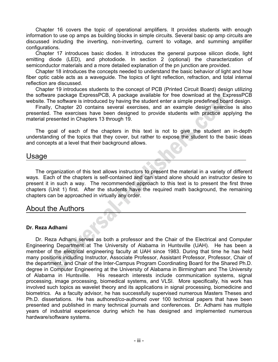Chapter 16 covers the topic of operational amplifiers. It provides students with enough information to use op amps as building blocks in simple circuits. Several basic op amp circuits are discussed including the inverting, non-inverting, current to voltage, and summing amplifier configurations.

 Chapter 17 introduces basic diodes. It introduces the general purpose silicon diode, light emitting diode (LED), and photodiode. In section 2 (optional) the characterization of semiconductor materials and a more detailed explanation of the pn junction are provided.

 Chapter 18 introduces the concepts needed to understand the basic behavior of light and how fiber optic cable acts as a waveguide. The topics of light reflection, refraction, and total internal reflection are discussed.

 Chapter 19 introduces students to the concept of PCB (Printed Circuit Board) design utilizing the software package ExpressPCB, A package available for free download at the ExpressPCB website. The software is introduced by having the student enter a simple predefined board design.

 Finally, Chapter 20 contains several exercises, and an example design exercise is also presented. The exercises have been designed to provide students with practice applying the material presented in Chapters 13 through 19.

 The goal of each of the chapters in this text is not to give the student an in-depth understanding of the topics that they cover, but rather to expose the student to the basic ideas and concepts at a level that their background allows.

## Usage

 The organization of this text allows instructors to present the material in a variety of different ways. Each of the chapters is self-contained and can stand alone should an instructor desire to present it in such a way. The recommended approach to this text is to present the first three chapters (Unit 1) first. After the students have the required math background, the remaining chapters can be approached in virtually any order.

## About the Authors

## **Dr. Reza Adhami**

 Dr. Reza Adhami serves as both a professor and the Chair of the Electrical and Computer Engineering Department at The University of Alabama in Huntsville (UAH). He has been a member of the electrical engineering faculty at UAH since 1983. During that time he has held many positions including Instructor, Associate Professor, Assistant Professor, Professor, Chair of the department, and Chair of the Inter-Campus Program Coordinating Board for the Shared Ph.D. degree in Computer Engineering at the University of Alabama in Birmingham and The University of Alabama in Huntsville. His research interests include communication systems, signal processing, image processing, biomedical systems, and VLSI. More specifically, his work has involved such topics as wavelet theory and its applications in signal processing, biomedicine and biometrics. As a faculty advisor, he has successfully supervised numerous Masters Theses and Ph.D. dissertations. He has authored/co-authored over 100 technical papers that have been presented and published in many technical journals and conferences. Dr. Adhami has multiple years of industrial experience during which he has designed and implemented numerous hardware/software systems.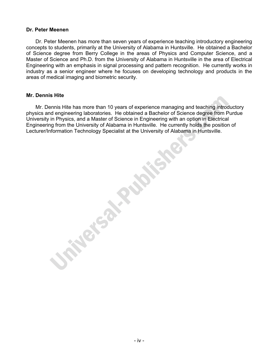#### **Dr. Peter Meenen**

 Dr. Peter Meenen has more than seven years of experience teaching introductory engineering concepts to students, primarily at the University of Alabama in Huntsville. He obtained a Bachelor of Science degree from Berry College in the areas of Physics and Computer Science, and a Master of Science and Ph.D. from the University of Alabama in Huntsville in the area of Electrical Engineering with an emphasis in signal processing and pattern recognition. He currently works in industry as a senior engineer where he focuses on developing technology and products in the areas of medical imaging and biometric security.

#### **Mr. Dennis Hite**

Mr. Dennis Hite has more than 10 years of experience managing and teaching introductory physics and engineering laboratories. He obtained a Bachelor of Science degree from Purdue University in Physics, and a Master of Science in Engineering with an option in Electrical Engineering from the University of Alabama in Huntsville. He currently holds the position of Lecturer/Information Technology Specialist at the University of Alabama in Huntsville.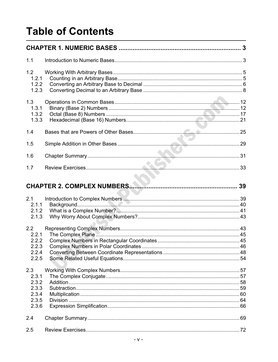| 1.1                            |  |
|--------------------------------|--|
| 1.2<br>1.2.1<br>1.2.2<br>1.2.3 |  |
| 1.3<br>1.3.1<br>1.3.2<br>1.3.3 |  |
| 1.4                            |  |
| 1.5                            |  |
| 1.6                            |  |
| 1.7                            |  |
|                                |  |
| 21<br>2.1.1                    |  |

| 2.1.2 |  |
|-------|--|
| 2.1.3 |  |
|       |  |
| 2.2   |  |
| 2.2.1 |  |
| 2.2.2 |  |
| 2.2.3 |  |
| 2.2.4 |  |
| 2.2.5 |  |
|       |  |
| 2.3   |  |
| 2.3.1 |  |
| 2.3.2 |  |
| 2.3.3 |  |
| 2.3.4 |  |
| 2.3.5 |  |
| 2.3.6 |  |
|       |  |
| 2.4   |  |
|       |  |
| 2.5   |  |
|       |  |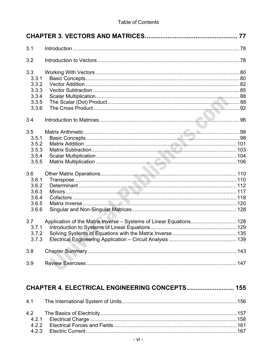| 3.1                                                       |                                                                     |  |
|-----------------------------------------------------------|---------------------------------------------------------------------|--|
| 3.2                                                       |                                                                     |  |
| 3.3<br>3.3.1<br>3.3.2<br>3.3.3<br>3.3.4<br>3.3.5<br>3.3.6 |                                                                     |  |
| 3.4                                                       |                                                                     |  |
| 3.5<br>3.5.1<br>3.5.2<br>3.5.3<br>3.5.4<br>3.5.5          |                                                                     |  |
| 3.6<br>3.6.1<br>3.6.2<br>3.6.3<br>3.6.4<br>3.6.5<br>3.6.6 |                                                                     |  |
| 3.7<br>3.7.1<br>3.7.2<br>3.7.3                            | Application of the Matrix Inverse - Systems of Linear Equations 128 |  |
| 3.8                                                       |                                                                     |  |
| 3.9                                                       |                                                                     |  |

## CHAPTER 4. ELECTRICAL ENGINEERING CONCEPTS............................ 155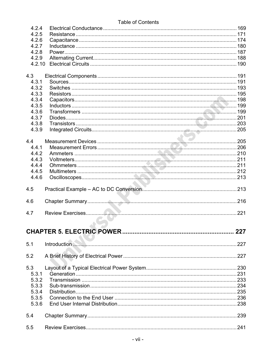| 4.2.4          |  |
|----------------|--|
| 4.2.5          |  |
| 4.2.6          |  |
| 4.2.7          |  |
| 4.2.8          |  |
| 4.2.9          |  |
| 4.2.10         |  |
| 4.3            |  |
| 4.3.1          |  |
| 4.3.2          |  |
| 4.3.3          |  |
| 4.3.4          |  |
| 4.3.5          |  |
| 4.3.6          |  |
| 4.3.7<br>4.3.8 |  |
| 4.3.9          |  |
|                |  |
| 4.4            |  |
| 4.4.1          |  |
| 4.4.2          |  |
| 4.4.3          |  |
| 4.4.4          |  |
| 4.4.5          |  |
| 4.4.6          |  |
|                |  |
| 4.5            |  |
|                |  |
| 4.6            |  |
| 4.7            |  |
|                |  |
|                |  |
|                |  |
|                |  |
| 5.1            |  |
|                |  |
| 5.2            |  |
|                |  |
| 5.3            |  |
| 5.3.1          |  |
| 5.3.2          |  |
| 5.3.3          |  |
| 5.3.4          |  |
| 5.3.5          |  |
| 5.3.6          |  |
|                |  |
| 5.4            |  |
| 5.5            |  |
|                |  |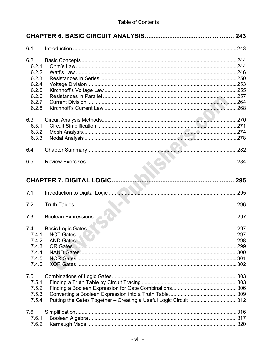| 6.1                                                                         |                                                                  |  |
|-----------------------------------------------------------------------------|------------------------------------------------------------------|--|
| 6.2<br>6.2.1<br>6.2.2<br>6.2.3<br>6.2.4<br>6.2.5<br>6.2.6<br>6.2.7<br>6.2.8 |                                                                  |  |
| 6.3<br>6.3.1<br>6.3.2<br>6.3.3                                              |                                                                  |  |
| 6.4<br>6.5                                                                  |                                                                  |  |
|                                                                             |                                                                  |  |
| 7.1                                                                         |                                                                  |  |
| 7.2                                                                         |                                                                  |  |
| 7.3                                                                         |                                                                  |  |
| 7.4<br>7.4.1<br>7.4.2<br>7.4.3<br>7.4.4<br>7.4.5<br>746                     | XOR Gates                                                        |  |
| 7.5<br>7.5.1<br>7.5.2<br>7.5.3<br>7.5.4                                     | Putting the Gates Together - Creating a Useful Logic Circuit 312 |  |
| 7.6<br>7.6.1<br>7.6.2                                                       |                                                                  |  |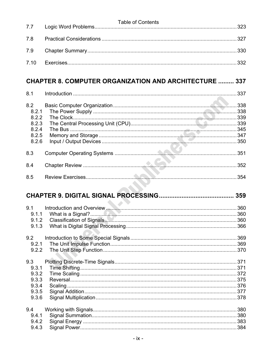| 7.7                                                       | <b>Table of Contents</b>                                      |  |
|-----------------------------------------------------------|---------------------------------------------------------------|--|
| 7.8                                                       |                                                               |  |
| 7.9                                                       |                                                               |  |
| 7.10                                                      |                                                               |  |
|                                                           | <b>CHAPTER 8. COMPUTER ORGANIZATION AND ARCHITECTURE  337</b> |  |
| 8.1                                                       |                                                               |  |
| 8.2<br>8.2.1<br>8.2.2<br>8.2.3<br>8.2.4<br>8.2.5<br>8.2.6 |                                                               |  |
| 8.3                                                       |                                                               |  |
| 8.4                                                       |                                                               |  |
| 8.5                                                       |                                                               |  |

## 

| 9.1   |  |
|-------|--|
| 9.1.1 |  |
| 9.1.2 |  |
| 9.1.3 |  |
| 9.2   |  |
| 9.2.1 |  |
| 9.2.2 |  |
| 9.3   |  |
| 9.3.1 |  |
| 9.3.2 |  |
| 9.3.3 |  |
| 9.3.4 |  |
| 9.3.5 |  |
| 9.3.6 |  |
| 9.4   |  |
| 9.4.1 |  |
| 9.4.2 |  |
| 9.4.3 |  |
|       |  |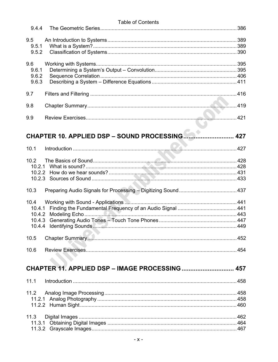|       | <b>Table of Contents</b>                        |     |
|-------|-------------------------------------------------|-----|
| 9.4.4 |                                                 |     |
| 9.5   |                                                 |     |
| 9.5.1 |                                                 |     |
| 9.5.2 |                                                 |     |
| 9.6   |                                                 |     |
| 9.6.1 |                                                 |     |
| 9.6.2 |                                                 |     |
| 9.6.3 |                                                 |     |
| 9.7   |                                                 |     |
| 9.8   |                                                 |     |
|       |                                                 |     |
| 9.9   |                                                 |     |
|       | CHAPTER 10. APPLIED DSP - SOUND PROCESSING 427  |     |
|       |                                                 |     |
| 10.1  |                                                 |     |
| 10.2  |                                                 |     |
|       |                                                 |     |
|       |                                                 |     |
|       |                                                 |     |
| 10.3  |                                                 |     |
|       |                                                 |     |
| 10.4  |                                                 |     |
|       |                                                 |     |
|       |                                                 |     |
|       |                                                 |     |
|       |                                                 |     |
| 10.5  |                                                 |     |
| 10.6  |                                                 | 454 |
|       |                                                 |     |
|       | CHAPTER 11. APPLIED DSP - IMAGE PROCESSING  457 |     |
|       |                                                 |     |
| 11.1  |                                                 |     |
| 11.2  |                                                 |     |
|       |                                                 |     |
|       |                                                 |     |
| 11.3  |                                                 |     |
|       |                                                 |     |
|       |                                                 |     |
|       |                                                 |     |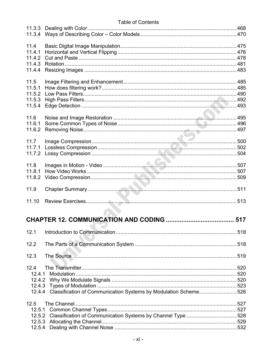| 11.4<br>11.4.1<br>11.4.2<br>11.4.4           |                                                                        |     |
|----------------------------------------------|------------------------------------------------------------------------|-----|
| 11.5<br>11.5.1<br>11.5.2<br>11.5.3<br>11.5.4 |                                                                        |     |
| 11.6<br>11.6.1<br>11.6.2                     |                                                                        |     |
| 11.7<br>11.7.1<br>11.7.2                     |                                                                        |     |
| 11.8<br>11.8.1<br>11.8.2                     |                                                                        |     |
| 11.9                                         |                                                                        |     |
| 11.10                                        |                                                                        |     |
|                                              |                                                                        |     |
|                                              |                                                                        |     |
| 12.1                                         |                                                                        |     |
| 12.2                                         |                                                                        |     |
| 12.3                                         | The Source                                                             | 519 |
| 12.4<br>12.4.1<br>12.4.3                     | 12.4.4 Classification of Communication Systems by Modulation Scheme526 |     |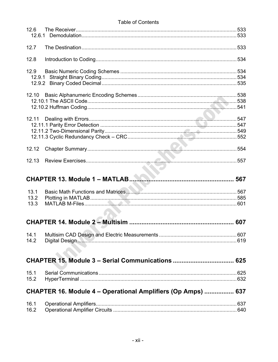| 12.6                 |                                                              |  |
|----------------------|--------------------------------------------------------------|--|
| 12.7                 |                                                              |  |
| 12.8                 |                                                              |  |
| 12.9                 |                                                              |  |
| 12.10                |                                                              |  |
| 12.11                |                                                              |  |
| 12.12                |                                                              |  |
| 12.13                |                                                              |  |
|                      |                                                              |  |
|                      |                                                              |  |
| 13.1<br>13.2<br>13.3 |                                                              |  |
|                      |                                                              |  |
| 14.1<br>14.2         |                                                              |  |
|                      | CHAPTER 15. Module 3 - Serial Communications  625            |  |
| 15.1<br>15.2         |                                                              |  |
|                      | CHAPTER 16. Module 4 – Operational Amplifiers (Op Amps)  637 |  |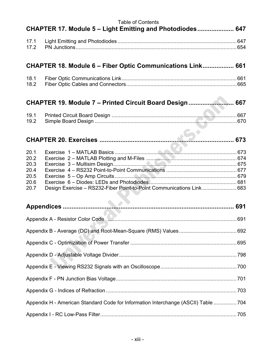|                                                      | <b>Table of Contents</b><br>CHAPTER 17. Module 5 - Light Emitting and Photodiodes 647 |  |
|------------------------------------------------------|---------------------------------------------------------------------------------------|--|
| 17.1<br>17.2                                         |                                                                                       |  |
|                                                      | CHAPTER 18. Module 6 – Fiber Optic Communications Link 661                            |  |
| 18.1<br>18.2                                         |                                                                                       |  |
|                                                      | CHAPTER 19. Module 7 - Printed Circuit Board Design 667                               |  |
| 19.1<br>19.2                                         |                                                                                       |  |
|                                                      |                                                                                       |  |
| 20.1<br>20.2<br>20.3<br>20.4<br>20.5<br>20.6<br>20.7 | Design Exercise - RS232-Fiber Point-to-Point Communications Link 683                  |  |
|                                                      |                                                                                       |  |
|                                                      |                                                                                       |  |
|                                                      |                                                                                       |  |
|                                                      |                                                                                       |  |
|                                                      |                                                                                       |  |
|                                                      |                                                                                       |  |
|                                                      |                                                                                       |  |
|                                                      |                                                                                       |  |
|                                                      | Appendix H - American Standard Code for Information Interchange (ASCII) Table  704    |  |
|                                                      |                                                                                       |  |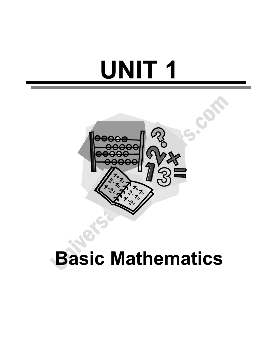# **UNIT 1**



## **Basic Mathematics**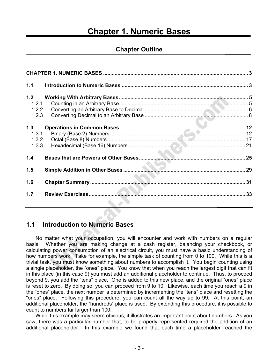## **Chapter 1. Numeric Bases**

## **Chapter Outline**

| 1.1   |  |
|-------|--|
| 1.2   |  |
| 1.2.1 |  |
|       |  |
| 1.2.3 |  |
| 1.3   |  |
| 1.3.1 |  |
| 1.3.2 |  |
| 1.3.3 |  |
| 1.4   |  |
| 1.5   |  |
| 1.6   |  |
| 1.7   |  |
|       |  |

## **1.1 Introduction to Numeric Bases**

 No matter what your occupation, you will encounter and work with numbers on a regular basis. Whether you are making change at a cash register, balancing your checkbook, or calculating power consumption of an electrical circuit, you must have a basic understanding of how numbers work. Take for example, the simple task of counting from 0 to 100. While this is a trivial task, you must know something about numbers to accomplish it. You begin counting using a single placeholder, the "ones" place. You know that when you reach the largest digit that can fit in this place (in this case 9) you must add an additional placeholder to continue. Thus, to proceed beyond 9, you add the "tens" place. One is added to this new place, and the original "ones" place is reset to zero. By doing so, you can proceed from 9 to 10. Likewise, each time you reach a 9 in the "ones" place, the next number is determined by incrementing the "tens" place and resetting the "ones" place. Following this procedure, you can count all the way up to 99. At this point, an additional placeholder, the "hundreds" place is used. By extending this procedure, it is possible to count to numbers far larger than 100.

 While this example may seem obvious, it illustrates an important point about numbers. As you saw, there was a particular number that, to be properly represented required the addition of an additional placeholder. In this example we found that each time a placeholder reached the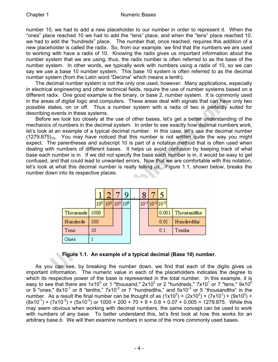number 10, we had to add a new placeholder to our number in order to represent it. When the "ones" place reached 10 we had to add the "tens" place, and when the "tens" place reached 10, we had to add the "hundreds" place. The number that, once reached, requires this addition of a new placeholder is called the radix. So, from our example, we find that the numbers we are used to working with have a radix of 10. Knowing the radix gives us important information about the number system that we are using, thus, the radix number is often referred to as the base of the number system. In other words, we typically work with numbers using a radix of 10, so we can say we use a base 10 number system. This base 10 system is often referred to as the decimal number system (from the Latin word "Decima" which means a tenth).

 The decimal number system is not the only one used, however. Many applications, especially in electrical engineering and other technical fields, require the use of number systems based on a different radix. One good example is the binary, or base 2, number system. It is commonly used in the areas of digital logic and computers. These areas deal with signals that can have only two possible states, on or off. Thus a number system with a radix of two is perfectly suited for describing events in these systems.

 Before we look too closely at the use of other bases, let's get a better understanding of the mechanics of numbers in the decimal system. In order to see exactly how decimal numbers work, let's look at an example of a typical decimal number. In this case, let's use the decimal number  $(1279.875)_{10}$ . You may have noticed that this number is not written quite the way you might expect. The parentheses and subscript 10 is part of a notation method that is often used when dealing with numbers of different bases. It helps us avoid confusion by keeping track of what base each number is in. If we did not specify the base each number is in, it would be easy to get confused, and that could lead to unwanted errors. Now that we are comfortable with this notation, let's look at what this decimal number is really telling us. Figure 1.1, shown below, breaks the number down into its respective places.



**Figure 1.1. An example of a typical decimal (Base 10) number.** 

 As you can see, by breaking the number down, we find that each of the digits gives us important information. The numeric value in each of the placeholders indicates the degree to which its respective power of the base is represented in the total number. In this example, it is easy to see that there are 1x10 $^3$  or 1 "thousand," 2x10 $^2$  or 2 "hundreds," 7x10 $^1$  or 7 "tens," 9x10 $^0$ or 9 "ones," 8x10<sup>-1</sup> or 8 "tenths," 7x10<sup>-2</sup> or 7 "hundredths," and 5x10<sup>-3</sup> or 5 "thousandths" in the number. As a result the final number can be thought of as (1x10<sup>3</sup>) + (2x10<sup>2</sup>) + (7x10<sup>1</sup>) + (9x10<sup>0</sup>) +  $(8x10^{-1}) + (7x10^{-2}) + (5x10^{-3})$  or  $1000 + 200 + 70 + 9 + 0.8 + 0.07 + 0.005 = 1279.875$ . While this may seem obvious when working with decimal numbers, the same concept can be used to work with numbers of any base. To better understand this, let's first look at how this works for an arbitrary base *b*. We will then examine numbers in some of the more commonly used bases.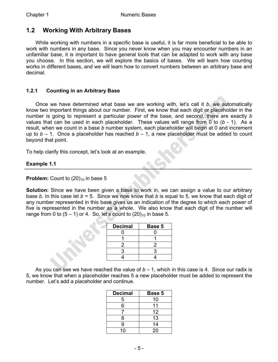## **1.2 Working With Arbitrary Bases**

While working with numbers in a specific base is useful, it is far more beneficial to be able to work with numbers in any base. Since you never know when you may encounter numbers in an unfamiliar base, it is important to have general tools that can be adapted to work with any base you choose. In this section, we will explore the basics of bases. We will learn how counting works in different bases, and we will learn how to convert numbers between an arbitrary base and decimal.

## **1.2.1 Counting in an Arbitrary Base**

 Once we have determined what base we are working with, let's call it *b*, we automatically know two important things about our number. First, we know that each digit or placeholder in the number is going to represent a particular power of the base, and second, there are exactly *b* values that can be used in each placeholder. These values will range from 0 to (*b* - 1). As a result, when we count in a base *b* number system, each placeholder will begin at 0 and increment up to  $b - 1$ . Once a placeholder has reached  $b - 1$ , a new placeholder must be added to count beyond that point.

To help clarify this concept, let's look at an example.

## **Example 1.1**

## **Problem:** Count to  $(20)_{10}$  in base 5

**Solution:** Since we have been given a base to work in, we can assign a value to our arbitrary base *b.* In this case let *b* = 5. Since we now know that *b* is equal to 5, we know that each digit of any number represented in this base gives us an indication of the degree to which each power of five is represented in the number as a whole. We also know that each digit of the number will range from 0 to  $(5 - 1)$  or 4. So, let's count to  $(20)_{10}$  in base 5.

| <b>Decimal</b> | Base 5 |
|----------------|--------|
|                |        |
|                |        |
|                | ッ      |
| ্              |        |
|                |        |

As you can see we have reached the value of  $b - 1$ , which in this case is 4. Since our radix is 5, we know that when a placeholder reaches 5 a new placeholder must be added to represent the number. Let's add a placeholder and continue.

| <b>Decimal</b> | Base 5 |
|----------------|--------|
| 5              | 10     |
| 6              | 11     |
|                | 12     |
| 8              | 13     |
| 9              | 14     |
| 10             | 20     |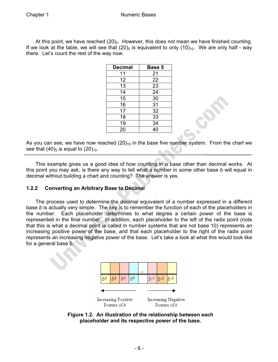At this point, we have reached  $(20)_5$ . However, this does not mean we have finished counting. If we look at the table, we will see that (20)<sub>5</sub> is equivalent to only (10)<sub>10</sub>. We are only half - way there. Let's count the rest of the way now.

| <b>Decimal</b> | Base 5 |
|----------------|--------|
| 11             | 21     |
| 12             | 22     |
| 13             | 23     |
| 14             | 24     |
| 15             | 30     |
| 16             | 31     |
| 17             | 32     |
| 18             | 33     |
| 19             | 34     |
| 20             | 40     |

As you can see, we have now reached  $(20)_{10}$  in the base five number system. From the chart we see that  $(40)_5$  is equal to  $(20)_{10}$ .

 This example gives us a good idea of how counting in a base other than decimal works. At this point you may ask, is there any way to tell what a number in some other base *b* will equal in decimal without building a chart and counting? The answer is yes.

## **1.2.2 Converting an Arbitrary Base to Decimal**

 The process used to determine the decimal equivalent of a number expressed in a different base *b* is actually very simple. The key is to remember the function of each of the placeholders in the number. Each placeholder determines to what degree a certain power of the base is represented in the final number. In addition, each placeholder to the left of the radix point (note that this is what a decimal point is called in number systems that are not base 10) represents an increasing positive power of the base, and that each placeholder to the right of the radix point represents an increasing negative power of the base. Let's take a look at what this would look like for a general base *b*.



 **Figure 1.2. An illustration of the relationship between each placeholder and its respective power of the base.**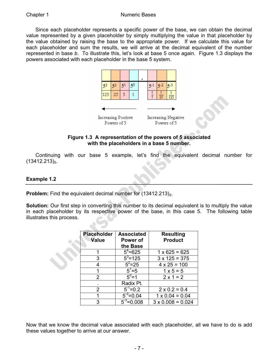Since each placeholder represents a specific power of the base, we can obtain the decimal value represented by a given placeholder by simply multiplying the value in that placeholder by the value obtained by raising the base to the appropriate power. If we calculate this value for each placeholder and sum the results, we will arrive at the decimal equivalent of the number represented in base *b*. To illustrate this, let's look at base 5 once again. Figure 1.3 displays the powers associated with each placeholder in the base 5 system.



#### **Figure 1.3 A representation of the powers of 5 associated with the placeholders in a base 5 number.**

 Continuing with our base 5 example, let's find the equivalent decimal number for  $(13412.213)_{5.}$ 

## **Example 1.2**

**Problem:** Find the equivalent decimal number for (13412.213)<sub>5</sub>.

**Solution:** Our first step in converting this number to its decimal equivalent is to multiply the value in each placeholder by its respective power of the base, in this case 5. The following table illustrates this process.

| <b>Placeholder</b><br>Value | <b>Associated</b><br>Power of | <b>Resulting</b><br><b>Product</b> |
|-----------------------------|-------------------------------|------------------------------------|
|                             | the Base                      |                                    |
|                             | $5^4$ =625                    | $1 \times 625 = 625$               |
| 3                           | $\sqrt{5^3}$ =125             | $3 \times 125 = 375$               |
|                             | $5^2$ =25                     | $4 \times 25 = 100$                |
|                             | $5^{\degree} = 5$             | $1 \times 5 = 5$                   |
| $\mathcal{P}$               | $5^0$ =1                      | $2 \times 1 = 2$                   |
|                             | Radix Pt.                     |                                    |
| 2                           | $\overline{5}^{-1}$ =0.2      | $2 \times 0.2 = 0.4$               |
|                             | $5^{-2} = 0.04$               | $1 \times 0.04 = 0.04$             |
| 3                           | $5^{-3}$ =0.008               | $3 \times 0.008 = 0.024$           |

Now that we know the decimal value associated with each placeholder, all we have to do is add these values together to arrive at our answer.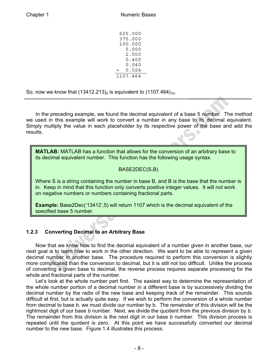Chapter 1 Numeric Bases

 625.000 375.000 100.000 5.000 2.000 0.400 0.040 + 0.024 1107.464

So, now we know that  $(13412.213)_{5}$  is equivalent to  $(1107.464)_{10}$ .

In the preceding example, we found the decimal equivalent of a base 5 number. The method we used in this example will work to convert a number in any base to its decimal equivalent. Simply multiply the value in each placeholder by its respective power of the base and add the results.

**MATLAB:** MATLAB has a function that allows for the conversion of an arbitrary base to its decimal equivalent number. This function has the following usage syntax.

## BASE2DEC(S,B)

Where S is a string containing the number in base B, and B is the base that the number is in. Keep in mind that this function only converts positive integer values. It will not work on negative numbers or numbers containing fractional parts.

**Example:** Base2Dec('13412',5) will return 1107 which is the decimal equivalent of the specified base 5 number.

## **1.2.3 Converting Decimal to an Arbitrary Base**

 Now that we know how to find the decimal equivalent of a number given in another base, our next goal is to learn how to work in the other direction. We want to be able to represent a given decimal number in another base. The procedure required to perform this conversion is slightly more complicated than the conversion to decimal, but it is still not too difficult. Unlike the process of converting a given base to decimal, the reverse process requires separate processing for the whole and fractional parts of the number.

 Let's look at the whole number part first. The easiest way to determine the representation of the whole number portion of a decimal number in a different base is by successively dividing the decimal number by the radix of the new base and keeping track of the remainder. This sounds difficult at first, but is actually quite easy. If we wish to perform the conversion of a whole number from decimal to base *b*, we must divide our number by b. The remainder of this division will be the rightmost digit of our base *b* number. Next, we divide the quotient from the previous division by *b*. The remainder from this division is the next digit in our base *b* number. This division process is repeated until the quotient is zero. At this point we have successfully converted our decimal number to the new base. Figure 1.4 illustrates this process.